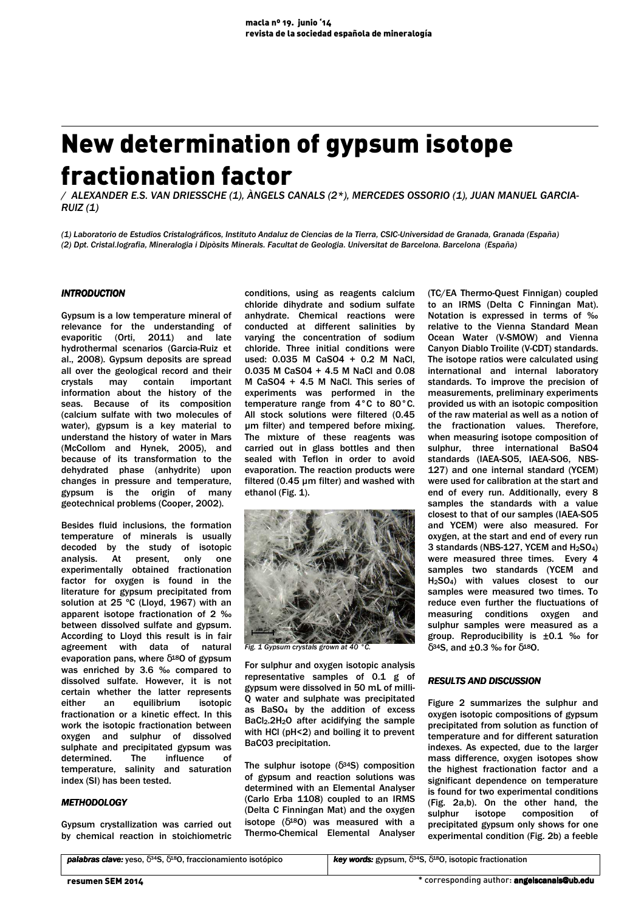# New determination of gypsum isotope fractionation factor

/ ALEXANDER E.S. VAN DRIESSCHE (1), ÀNGELS CANALS (2\*), MERCEDES OSSORIO (1), JUAN MANUEL GARCIA- $RUIZ(1)$ 

(1) Laboratorio de Estudios Cristalográficos, Instituto Andaluz de Ciencias de la Tierra, CSIC-Universidad de Granada, Granada (España) (2) Dpt. Cristal.lografia, Mineralogia i Dipòsits Minerals. Facultat de Geologia. Universitat de Barcelona. Barcelona (España)

## INTRODUCTION

Gypsum is a low temperature mineral of relevance for the understanding of evaporitic (Orti, 2011) and late hydrothermal scenarios (Garcia-Ruiz et al., 2008). Gypsum deposits are spread all over the geological record and their crystals may contain important information about the history of the seas. Because of its composition (calcium sulfate with two molecules of water), gypsum is a key material to understand the history of water in Mars (McCollom and Hynek, 2005), and because of its transformation to the dehydrated phase (anhydrite) upon changes in pressure and temperature, gypsum is the origin of many geotechnical problems (Cooper, 2002).

Besides fluid inclusions, the formation temperature of minerals is usually decoded by the study of isotopic analysis. At present, only one experimentally obtained fractionation factor for oxygen is found in the literature for gypsum precipitated from solution at 25 ºC (Lloyd, 1967) with an apparent isotope fractionation of 2 ‰ between dissolved sulfate and gypsum. According to Lloyd this result is in fair agreement with data of natural evaporation pans, where  $\delta^{18}$ O of gypsum was enriched by 3.6 ‰ compared to dissolved sulfate. However, it is not certain whether the latter represents either an equilibrium isotopic fractionation or a kinetic effect. In this work the isotopic fractionation between oxygen and sulphur of dissolved sulphate and precipitated gypsum was determined. The influence of temperature, salinity and saturation index (SI) has been tested.

#### **METHODOLOGY**

Gypsum crystallization was carried out by chemical reaction in stoichiometric

conditions, using as reagents calcium chloride dihydrate and sodium sulfate anhydrate. Chemical reactions were conducted at different salinities by varying the concentration of sodium chloride. Three initial conditions were used: 0.035 M CaSO4 + 0.2 M NaCl, 0.035 M CaS04 + 4.5 M NaCl and 0.08 M CaSO4 + 4.5 M NaCl. This series of experiments was performed in the temperature range from 4°C to 80°C. All stock solutions were filtered (0.45 µm filter) and tempered before mixing. The mixture of these reagents was carried out in glass bottles and then sealed with Teflon in order to avoid evaporation. The reaction products were filtered (0.45 µm filter) and washed with ethanol (Fig. 1).



Fig. 1 Gypsum crystals grown at 40 °C.

For sulphur and oxygen isotopic analysis representative samples of 0.1 g of gypsum were dissolved in 50 mL of milli-Q water and sulphate was precipitated as BaSO<sup>4</sup> by the addition of excess BaCl<sub>2</sub>.2H<sub>2</sub>O after acidifving the sample with HCl (pH<2) and boiling it to prevent BaCO3 precipitation.

The sulphur isotope  $(\delta^{34}S)$  composition of gypsum and reaction solutions was determined with an Elemental Analyser (Carlo Erba 1108) coupled to an IRMS (Delta C Finningan Mat) and the oxygen isotope  $(\delta^{18}O)$  was measured with a Thermo-Chemical Elemental Analyser

(TC/EA Thermo-Quest Finnigan) coupled to an IRMS (Delta C Finningan Mat). Notation is expressed in terms of ‰ relative to the Vienna Standard Mean Ocean Water (V-SMOW) and Vienna Canyon Diablo Troilite (V-CDT) standards. The isotope ratios were calculated using international and internal laboratory standards. To improve the precision of measurements, preliminary experiments provided us with an isotopic composition of the raw material as well as a notion of the fractionation values. Therefore, when measuring isotope composition of sulphur, three international BaSO4 standards (IAEA-SO5, IAEA-SO6, NBS-127) and one internal standard (YCEM) were used for calibration at the start and end of every run. Additionally, every 8 samples the standards with a value closest to that of our samples (IAEA-SO5 and YCEM) were also measured. For oxygen, at the start and end of every run 3 standards (NBS-127, YCEM and H2SO4) were measured three times. Every 4 samples two standards (YCEM and H2SO4) with values closest to our samples were measured two times. To reduce even further the fluctuations of measuring conditions oxygen and sulphur samples were measured as a group. Reproducibility is ±0.1 ‰ for  $δ<sup>34</sup>S$ , and ±0.3 ‰ for  $δ<sup>18</sup>O$ .

#### **RESULTS AND DISCUSSION**

Figure 2 summarizes the sulphur and oxygen isotopic compositions of gypsum precipitated from solution as function of temperature and for different saturation indexes. As expected, due to the larger mass difference, oxygen isotopes show the highest fractionation factor and a significant dependence on temperature is found for two experimental conditions (Fig. 2a,b). On the other hand, the sulphur isotope composition of precipitated gypsum only shows for one experimental condition (Fig. 2b) a feeble